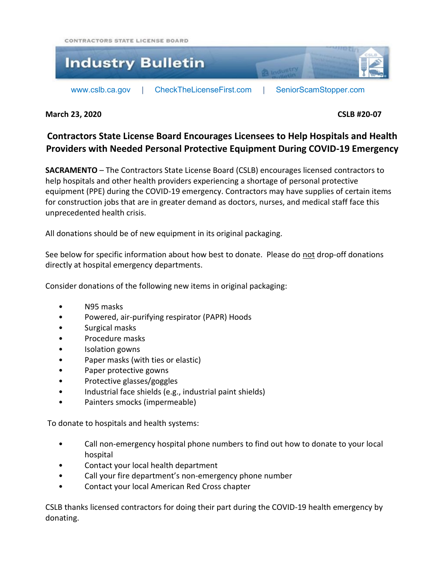CONTRACTORS STATE LICENSE BOARD



**March 23, 2020 CSLB #20-07**

## **Contractors State License Board Encourages Licensees to Help Hospitals and Health Providers with Needed Personal Protective Equipment During COVID-19 Emergency**

**SACRAMENTO** – The Contractors State License Board (CSLB) encourages licensed contractors to help hospitals and other health providers experiencing a shortage of personal protective equipment (PPE) during the COVID-19 emergency. Contractors may have supplies of certain items for construction jobs that are in greater demand as doctors, nurses, and medical staff face this unprecedented health crisis.

All donations should be of new equipment in its original packaging.

See below for specific information about how best to donate. Please do not drop-off donations directly at hospital emergency departments.

Consider donations of the following new items in original packaging:

- N95 masks
- Powered, air-purifying respirator (PAPR) Hoods
- Surgical masks
- Procedure masks
- Isolation gowns
- Paper masks (with ties or elastic)
- Paper protective gowns
- Protective glasses/goggles
- Industrial face shields (e.g., industrial paint shields)
- Painters smocks (impermeable)

To donate to hospitals and health systems:

- Call non-emergency hospital phone numbers to find out how to donate to your local hospital
- Contact your local health department
- Call your fire department's non-emergency phone number
- Contact your local American Red Cross chapter

CSLB thanks licensed contractors for doing their part during the COVID-19 health emergency by donating.